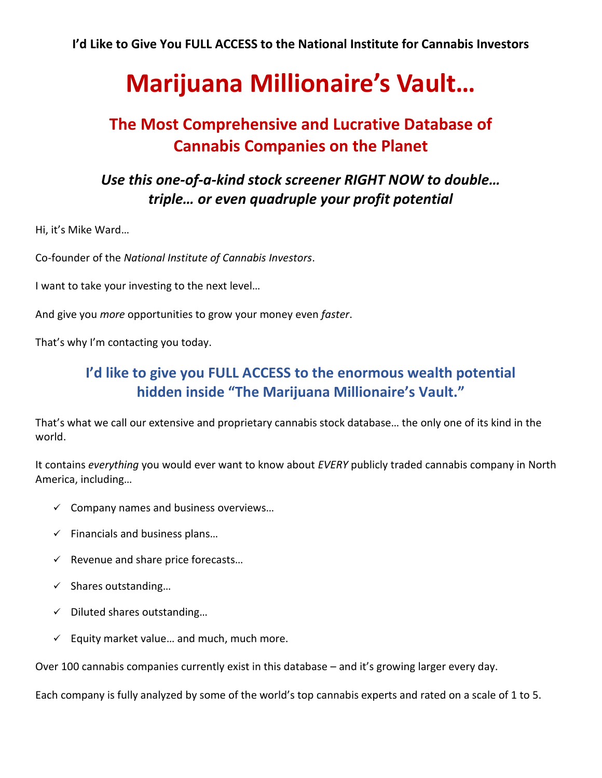**I'd Like to Give You FULL ACCESS to the National Institute for Cannabis Investors**

# **Marijuana Millionaire's Vault…**

# **The Most Comprehensive and Lucrative Database of Cannabis Companies on the Planet**

# *Use this one-of-a-kind stock screener RIGHT NOW to double… triple… or even quadruple your profit potential*

Hi, it's Mike Ward…

Co-founder of the *National Institute of Cannabis Investors*.

I want to take your investing to the next level…

And give you *more* opportunities to grow your money even *faster*.

That's why I'm contacting you today.

### **I'd like to give you FULL ACCESS to the enormous wealth potential hidden inside "The Marijuana Millionaire's Vault."**

That's what we call our extensive and proprietary cannabis stock database… the only one of its kind in the world.

It contains *everything* you would ever want to know about *EVERY* publicly traded cannabis company in North America, including…

- $\checkmark$  Company names and business overviews...
- $\checkmark$  Financials and business plans...
- $\checkmark$  Revenue and share price forecasts...
- $\checkmark$  Shares outstanding...
- $\checkmark$  Diluted shares outstanding...
- $\checkmark$  Equity market value... and much, much more.

Over 100 cannabis companies currently exist in this database – and it's growing larger every day.

Each company is fully analyzed by some of the world's top cannabis experts and rated on a scale of 1 to 5.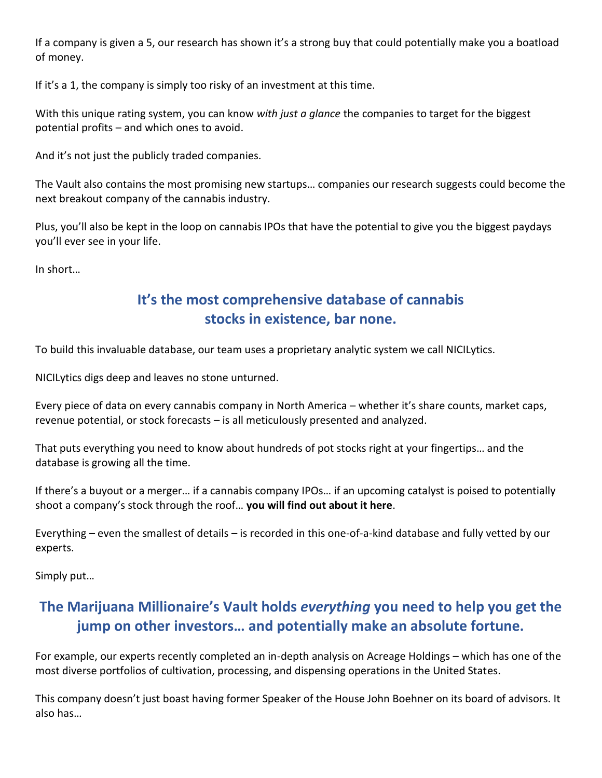If a company is given a 5, our research has shown it's a strong buy that could potentially make you a boatload of money.

If it's a 1, the company is simply too risky of an investment at this time.

With this unique rating system, you can know *with just a glance* the companies to target for the biggest potential profits – and which ones to avoid.

And it's not just the publicly traded companies.

The Vault also contains the most promising new startups… companies our research suggests could become the next breakout company of the cannabis industry.

Plus, you'll also be kept in the loop on cannabis IPOs that have the potential to give you the biggest paydays you'll ever see in your life.

In short…

# **It's the most comprehensive database of cannabis stocks in existence, bar none.**

To build this invaluable database, our team uses a proprietary analytic system we call NICILytics.

NICILytics digs deep and leaves no stone unturned.

Every piece of data on every cannabis company in North America – whether it's share counts, market caps, revenue potential, or stock forecasts – is all meticulously presented and analyzed.

That puts everything you need to know about hundreds of pot stocks right at your fingertips… and the database is growing all the time.

If there's a buyout or a merger… if a cannabis company IPOs… if an upcoming catalyst is poised to potentially shoot a company's stock through the roof… **you will find out about it here**.

Everything – even the smallest of details – is recorded in this one-of-a-kind database and fully vetted by our experts.

Simply put…

# **The Marijuana Millionaire's Vault holds** *everything* **you need to help you get the jump on other investors… and potentially make an absolute fortune.**

For example, our experts recently completed an in-depth analysis on Acreage Holdings – which has one of the most diverse portfolios of cultivation, processing, and dispensing operations in the United States.

This company doesn't just boast having former Speaker of the House John Boehner on its board of advisors. It also has…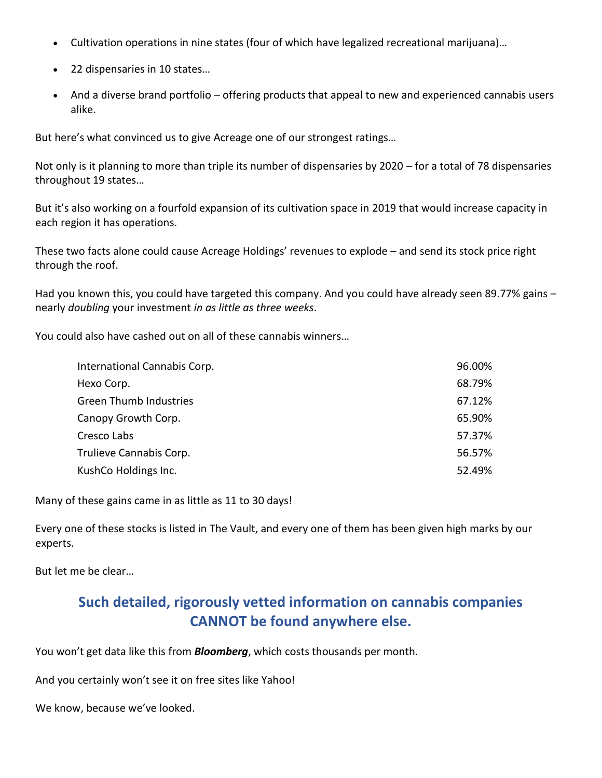- Cultivation operations in nine states (four of which have legalized recreational marijuana)…
- 22 dispensaries in 10 states…
- And a diverse brand portfolio offering products that appeal to new and experienced cannabis users alike.

But here's what convinced us to give Acreage one of our strongest ratings…

Not only is it planning to more than triple its number of dispensaries by 2020 – for a total of 78 dispensaries throughout 19 states…

But it's also working on a fourfold expansion of its cultivation space in 2019 that would increase capacity in each region it has operations.

These two facts alone could cause Acreage Holdings' revenues to explode – and send its stock price right through the roof.

Had you known this, you could have targeted this company. And you could have already seen 89.77% gains – nearly *doubling* your investment *in as little as three weeks*.

You could also have cashed out on all of these cannabis winners…

| International Cannabis Corp.  | 96.00% |
|-------------------------------|--------|
| Hexo Corp.                    | 68.79% |
| <b>Green Thumb Industries</b> | 67.12% |
| Canopy Growth Corp.           | 65.90% |
| Cresco Labs                   | 57.37% |
| Trulieve Cannabis Corp.       | 56.57% |
| KushCo Holdings Inc.          | 52.49% |

Many of these gains came in as little as 11 to 30 days!

Every one of these stocks is listed in The Vault, and every one of them has been given high marks by our experts.

But let me be clear…

### **Such detailed, rigorously vetted information on cannabis companies CANNOT be found anywhere else.**

You won't get data like this from *Bloomberg*, which costs thousands per month.

And you certainly won't see it on free sites like Yahoo!

We know, because we've looked.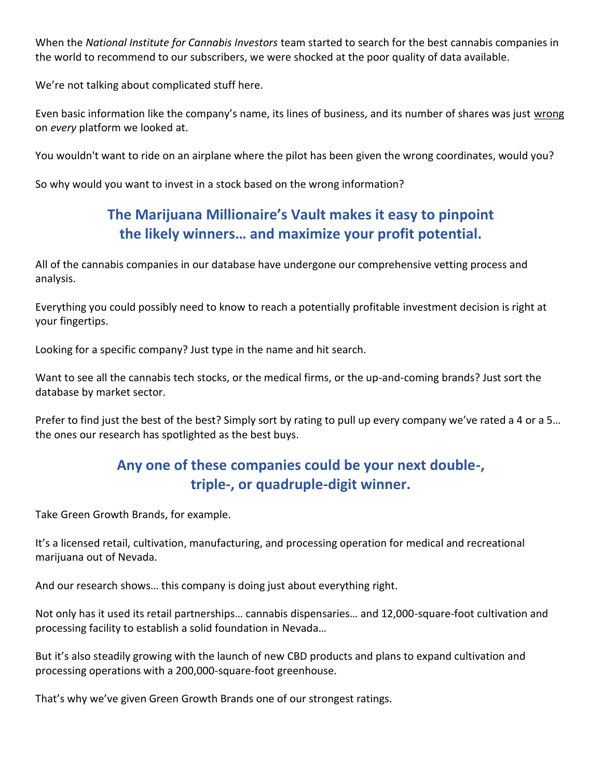When the *National Institute for Cannabis Investors* team started to search for the best cannabis companies in the world to recommend to our subscribers, we were shocked at the poor quality of data available.

We're not talking about complicated stuff here.

Even basic information like the company's name, its lines of business, and its number of shares was just wrong on *every* platform we looked at.

You wouldn't want to ride on an airplane where the pilot has been given the wrong coordinates, would you?

So why would you want to invest in a stock based on the wrong information?

# **The Marijuana Millionaire's Vault makes it easy to pinpoint the likely winners… and maximize your profit potential.**

All of the cannabis companies in our database have undergone our comprehensive vetting process and analysis.

Everything you could possibly need to know to reach a potentially profitable investment decision is right at your fingertips.

Looking for a specific company? Just type in the name and hit search.

Want to see all the cannabis tech stocks, or the medical firms, or the up-and-coming brands? Just sort the database by market sector.

Prefer to find just the best of the best? Simply sort by rating to pull up every company we've rated a 4 or a 5… the ones our research has spotlighted as the best buys.

# **Any one of these companies could be your next double-, triple-, or quadruple-digit winner.**

Take Green Growth Brands, for example.

It's a licensed retail, cultivation, manufacturing, and processing operation for medical and recreational marijuana out of Nevada.

And our research shows… this company is doing just about everything right.

Not only has it used its retail partnerships… cannabis dispensaries… and 12,000-square-foot cultivation and processing facility to establish a solid foundation in Nevada…

But it's also steadily growing with the launch of new CBD products and plans to expand cultivation and processing operations with a 200,000-square-foot greenhouse.

That's why we've given Green Growth Brands one of our strongest ratings.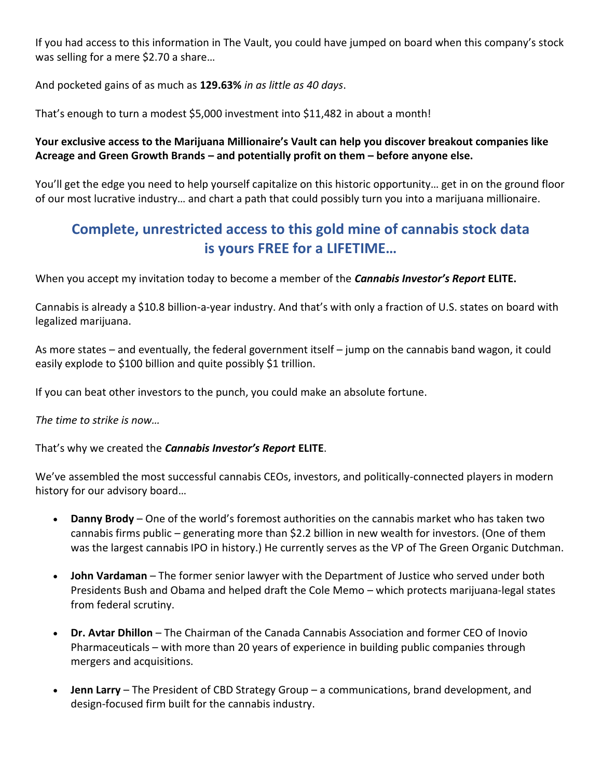If you had access to this information in The Vault, you could have jumped on board when this company's stock was selling for a mere \$2.70 a share…

And pocketed gains of as much as **129.63%** *in as little as 40 days*.

That's enough to turn a modest \$5,000 investment into \$11,482 in about a month!

#### **Your exclusive access to the Marijuana Millionaire's Vault can help you discover breakout companies like Acreage and Green Growth Brands – and potentially profit on them – before anyone else.**

You'll get the edge you need to help yourself capitalize on this historic opportunity… get in on the ground floor of our most lucrative industry… and chart a path that could possibly turn you into a marijuana millionaire.

# **Complete, unrestricted access to this gold mine of cannabis stock data is yours FREE for a LIFETIME…**

When you accept my invitation today to become a member of the *Cannabis Investor's Report* **ELITE.**

Cannabis is already a \$10.8 billion-a-year industry. And that's with only a fraction of U.S. states on board with legalized marijuana.

As more states – and eventually, the federal government itself – jump on the cannabis band wagon, it could easily explode to \$100 billion and quite possibly \$1 trillion.

If you can beat other investors to the punch, you could make an absolute fortune.

*The time to strike is now…* 

That's why we created the *Cannabis Investor's Report* **ELITE**.

We've assembled the most successful cannabis CEOs, investors, and politically-connected players in modern history for our advisory board…

- **Danny Brody** One of the world's foremost authorities on the cannabis market who has taken two cannabis firms public – generating more than \$2.2 billion in new wealth for investors. (One of them was the largest cannabis IPO in history.) He currently serves as the VP of The Green Organic Dutchman.
- **John Vardaman** The former senior lawyer with the Department of Justice who served under both Presidents Bush and Obama and helped draft the Cole Memo – which protects marijuana-legal states from federal scrutiny.
- **Dr. Avtar Dhillon** The Chairman of the Canada Cannabis Association and former CEO of Inovio Pharmaceuticals – with more than 20 years of experience in building public companies through mergers and acquisitions.
- **Jenn Larry** The President of CBD Strategy Group a communications, brand development, and design-focused firm built for the cannabis industry.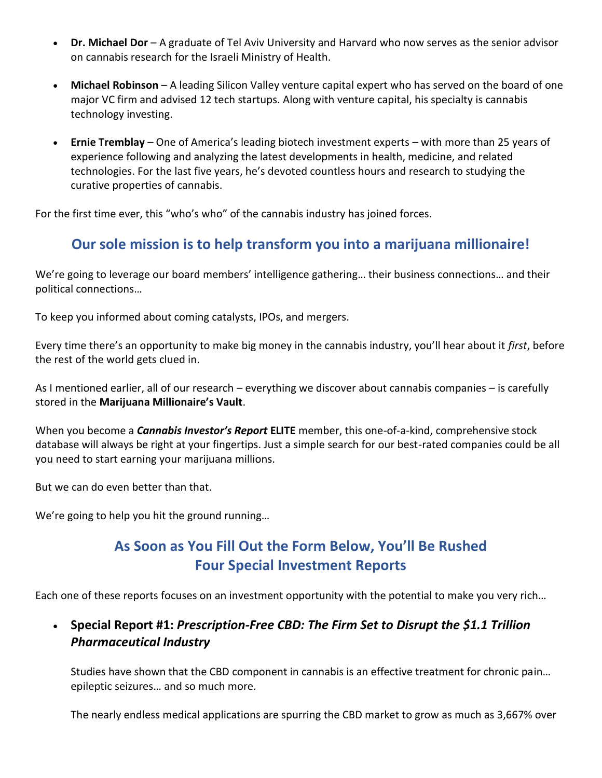- **Dr. Michael Dor** A graduate of Tel Aviv University and Harvard who now serves as the senior advisor on cannabis research for the Israeli Ministry of Health.
- **Michael Robinson** A leading Silicon Valley venture capital expert who has served on the board of one major VC firm and advised 12 tech startups. Along with venture capital, his specialty is cannabis technology investing.
- **Ernie Tremblay** One of America's leading biotech investment experts with more than 25 years of experience following and analyzing the latest developments in health, medicine, and related technologies. For the last five years, he's devoted countless hours and research to studying the curative properties of cannabis.

For the first time ever, this "who's who" of the cannabis industry has joined forces.

### **Our sole mission is to help transform you into a marijuana millionaire!**

We're going to leverage our board members' intelligence gathering… their business connections… and their political connections…

To keep you informed about coming catalysts, IPOs, and mergers.

Every time there's an opportunity to make big money in the cannabis industry, you'll hear about it *first*, before the rest of the world gets clued in.

As I mentioned earlier, all of our research – everything we discover about cannabis companies – is carefully stored in the **Marijuana Millionaire's Vault**.

When you become a *Cannabis Investor's Report* **ELITE** member, this one-of-a-kind, comprehensive stock database will always be right at your fingertips. Just a simple search for our best-rated companies could be all you need to start earning your marijuana millions.

But we can do even better than that.

We're going to help you hit the ground running…

### **As Soon as You Fill Out the Form Below, You'll Be Rushed Four Special Investment Reports**

Each one of these reports focuses on an investment opportunity with the potential to make you very rich…

#### • **Special Report #1:** *Prescription-Free CBD: The Firm Set to Disrupt the \$1.1 Trillion Pharmaceutical Industry*

Studies have shown that the CBD component in cannabis is an effective treatment for chronic pain… epileptic seizures… and so much more.

The nearly endless medical applications are spurring the CBD market to grow as much as 3,667% over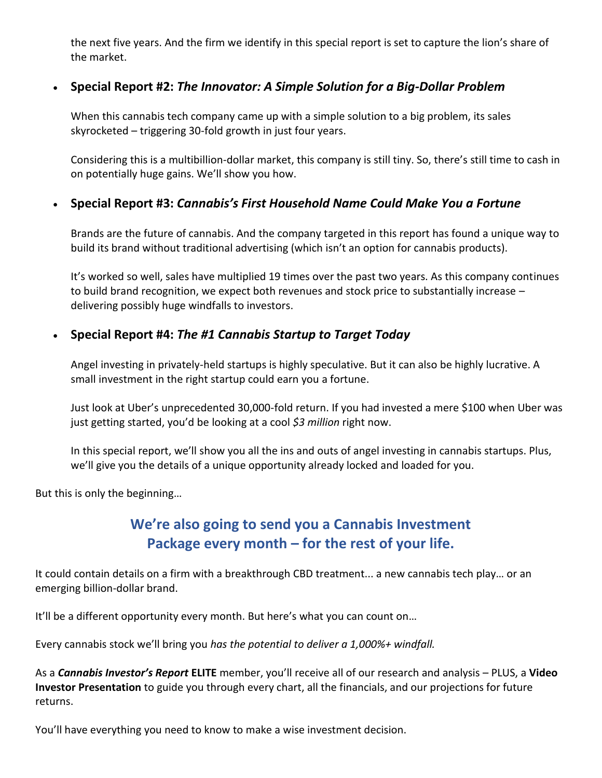the next five years. And the firm we identify in this special report is set to capture the lion's share of the market.

#### • **Special Report #2:** *The Innovator: A Simple Solution for a Big-Dollar Problem*

When this cannabis tech company came up with a simple solution to a big problem, its sales skyrocketed – triggering 30-fold growth in just four years.

Considering this is a multibillion-dollar market, this company is still tiny. So, there's still time to cash in on potentially huge gains. We'll show you how.

#### • **Special Report #3:** *Cannabis's First Household Name Could Make You a Fortune*

Brands are the future of cannabis. And the company targeted in this report has found a unique way to build its brand without traditional advertising (which isn't an option for cannabis products).

It's worked so well, sales have multiplied 19 times over the past two years. As this company continues to build brand recognition, we expect both revenues and stock price to substantially increase – delivering possibly huge windfalls to investors.

#### • **Special Report #4:** *The #1 Cannabis Startup to Target Today*

Angel investing in privately-held startups is highly speculative. But it can also be highly lucrative. A small investment in the right startup could earn you a fortune.

Just look at Uber's unprecedented 30,000-fold return. If you had invested a mere \$100 when Uber was just getting started, you'd be looking at a cool *\$3 million* right now.

In this special report, we'll show you all the ins and outs of angel investing in cannabis startups. Plus, we'll give you the details of a unique opportunity already locked and loaded for you.

But this is only the beginning…

### **We're also going to send you a Cannabis Investment Package every month – for the rest of your life.**

It could contain details on a firm with a breakthrough CBD treatment... a new cannabis tech play… or an emerging billion-dollar brand.

It'll be a different opportunity every month. But here's what you can count on…

Every cannabis stock we'll bring you *has the potential to deliver a 1,000%+ windfall.*

As a *Cannabis Investor's Report* **ELITE** member, you'll receive all of our research and analysis – PLUS, a **Video Investor Presentation** to guide you through every chart, all the financials, and our projections for future returns.

You'll have everything you need to know to make a wise investment decision.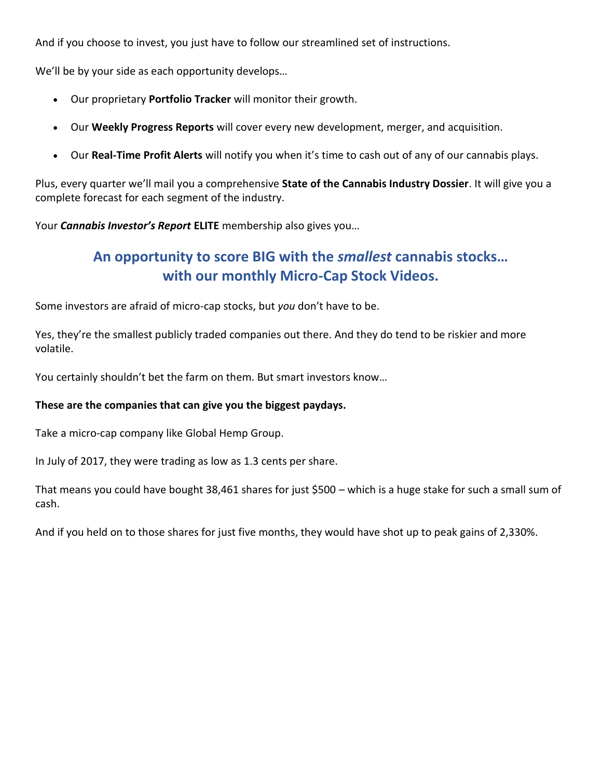And if you choose to invest, you just have to follow our streamlined set of instructions.

We'll be by your side as each opportunity develops...

- Our proprietary **Portfolio Tracker** will monitor their growth.
- Our **Weekly Progress Reports** will cover every new development, merger, and acquisition.
- Our **Real-Time Profit Alerts** will notify you when it's time to cash out of any of our cannabis plays.

Plus, every quarter we'll mail you a comprehensive **State of the Cannabis Industry Dossier**. It will give you a complete forecast for each segment of the industry.

Your *Cannabis Investor's Report* **ELITE** membership also gives you…

#### **An opportunity to score BIG with the** *smallest* **cannabis stocks… with our monthly Micro-Cap Stock Videos.**

Some investors are afraid of micro-cap stocks, but *you* don't have to be.

Yes, they're the smallest publicly traded companies out there. And they do tend to be riskier and more volatile.

You certainly shouldn't bet the farm on them. But smart investors know…

#### **These are the companies that can give you the biggest paydays.**

Take a micro-cap company like Global Hemp Group.

In July of 2017, they were trading as low as 1.3 cents per share.

That means you could have bought 38,461 shares for just \$500 – which is a huge stake for such a small sum of cash.

And if you held on to those shares for just five months, they would have shot up to peak gains of 2,330%.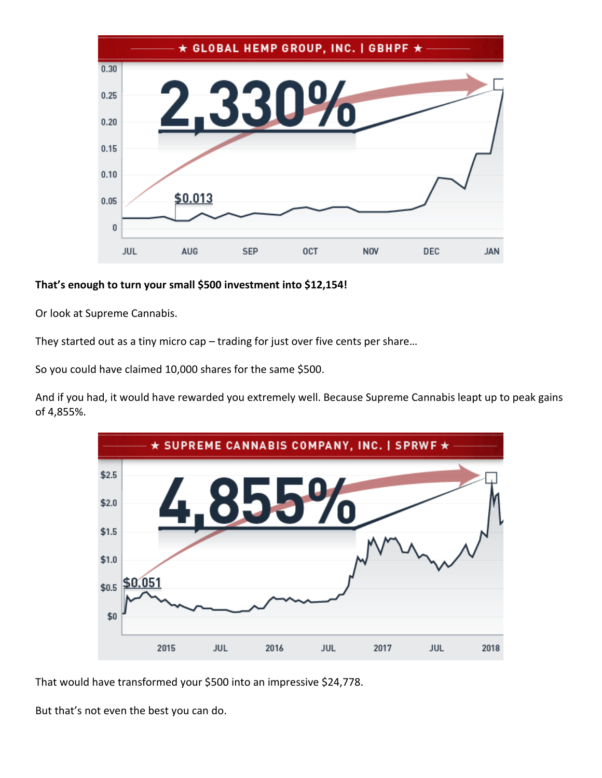

#### **That's enough to turn your small \$500 investment into \$12,154!**

Or look at Supreme Cannabis.

They started out as a tiny micro cap – trading for just over five cents per share…

So you could have claimed 10,000 shares for the same \$500.

And if you had, it would have rewarded you extremely well. Because Supreme Cannabis leapt up to peak gains of 4,855%.



That would have transformed your \$500 into an impressive \$24,778.

But that's not even the best you can do.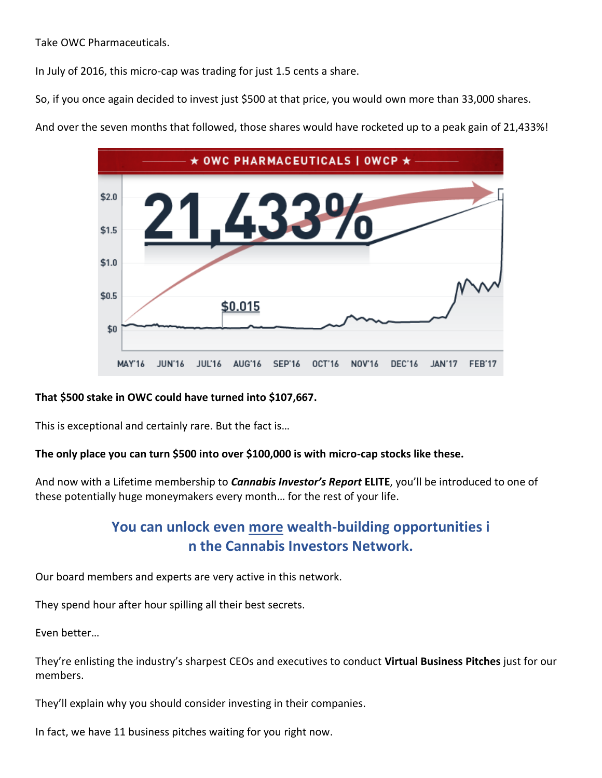Take OWC Pharmaceuticals.

In July of 2016, this micro-cap was trading for just 1.5 cents a share.

So, if you once again decided to invest just \$500 at that price, you would own more than 33,000 shares.

And over the seven months that followed, those shares would have rocketed up to a peak gain of 21,433%!



#### **That \$500 stake in OWC could have turned into \$107,667.**

This is exceptional and certainly rare. But the fact is…

#### **The only place you can turn \$500 into over \$100,000 is with micro-cap stocks like these.**

And now with a Lifetime membership to *Cannabis Investor's Report* **ELITE**, you'll be introduced to one of these potentially huge moneymakers every month… for the rest of your life.

#### **You can unlock even more wealth-building opportunities i n the Cannabis Investors Network.**

Our board members and experts are very active in this network.

They spend hour after hour spilling all their best secrets.

Even better…

They're enlisting the industry's sharpest CEOs and executives to conduct **Virtual Business Pitches** just for our members.

They'll explain why you should consider investing in their companies.

In fact, we have 11 business pitches waiting for you right now.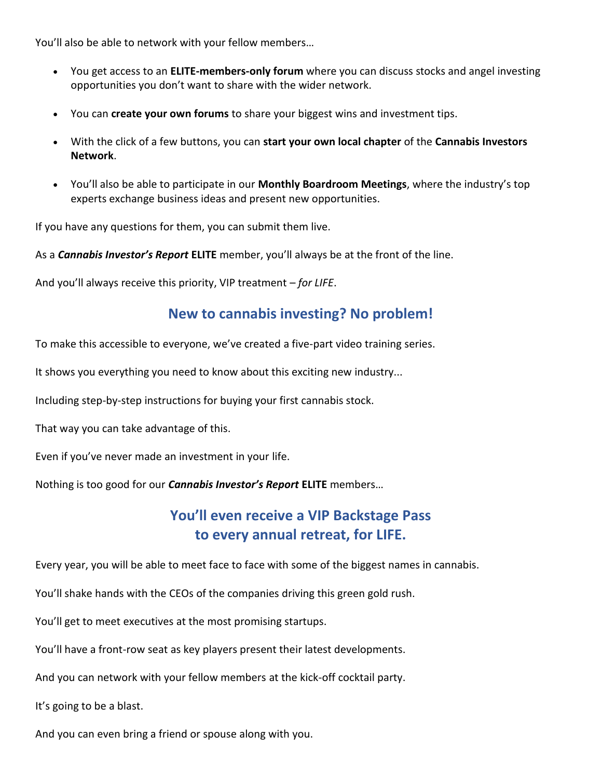You'll also be able to network with your fellow members…

- You get access to an **ELITE-members-only forum** where you can discuss stocks and angel investing opportunities you don't want to share with the wider network.
- You can **create your own forums** to share your biggest wins and investment tips.
- With the click of a few buttons, you can **start your own local chapter** of the **Cannabis Investors Network**.
- You'll also be able to participate in our **Monthly Boardroom Meetings**, where the industry's top experts exchange business ideas and present new opportunities.

If you have any questions for them, you can submit them live.

As a *Cannabis Investor's Report* **ELITE** member, you'll always be at the front of the line.

And you'll always receive this priority, VIP treatment – *for LIFE*.

#### **New to cannabis investing? No problem!**

To make this accessible to everyone, we've created a five-part video training series.

It shows you everything you need to know about this exciting new industry...

Including step-by-step instructions for buying your first cannabis stock.

That way you can take advantage of this.

Even if you've never made an investment in your life.

Nothing is too good for our *Cannabis Investor's Report* **ELITE** members…

# **You'll even receive a VIP Backstage Pass to every annual retreat, for LIFE.**

Every year, you will be able to meet face to face with some of the biggest names in cannabis.

You'll shake hands with the CEOs of the companies driving this green gold rush.

You'll get to meet executives at the most promising startups.

You'll have a front-row seat as key players present their latest developments.

And you can network with your fellow members at the kick-off cocktail party.

It's going to be a blast.

And you can even bring a friend or spouse along with you.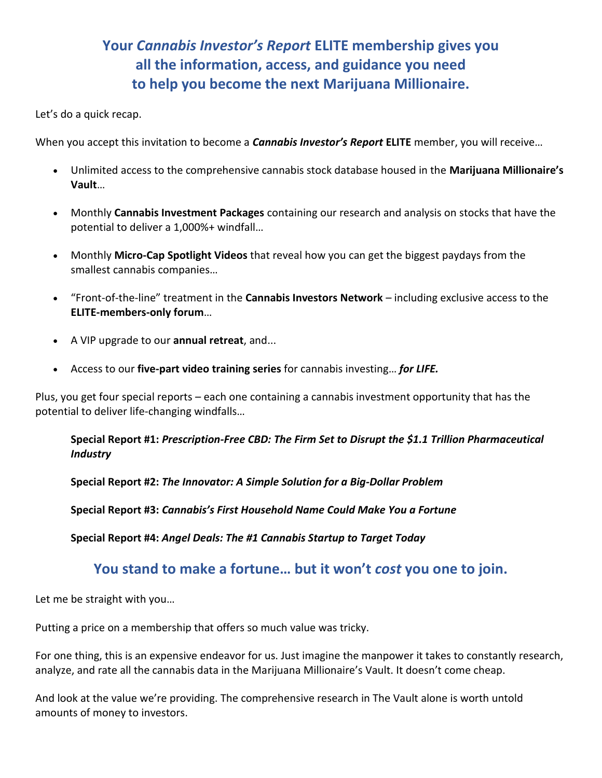# **Your** *Cannabis Investor's Report* **ELITE membership gives you all the information, access, and guidance you need to help you become the next Marijuana Millionaire.**

Let's do a quick recap.

When you accept this invitation to become a *Cannabis Investor's Report* **ELITE** member, you will receive…

- Unlimited access to the comprehensive cannabis stock database housed in the **Marijuana Millionaire's Vault**…
- Monthly **Cannabis Investment Packages** containing our research and analysis on stocks that have the potential to deliver a 1,000%+ windfall…
- Monthly **Micro-Cap Spotlight Videos** that reveal how you can get the biggest paydays from the smallest cannabis companies…
- "Front-of-the-line" treatment in the **Cannabis Investors Network** including exclusive access to the **ELITE-members-only forum**…
- A VIP upgrade to our **annual retreat**, and...
- Access to our **five-part video training series** for cannabis investing… *for LIFE.*

Plus, you get four special reports – each one containing a cannabis investment opportunity that has the potential to deliver life-changing windfalls…

#### **Special Report #1:** *Prescription-Free CBD: The Firm Set to Disrupt the \$1.1 Trillion Pharmaceutical Industry*

**Special Report #2:** *The Innovator: A Simple Solution for a Big-Dollar Problem*

**Special Report #3:** *Cannabis's First Household Name Could Make You a Fortune*

**Special Report #4:** *Angel Deals: The #1 Cannabis Startup to Target Today*

#### **You stand to make a fortune… but it won't** *cost* **you one to join.**

Let me be straight with you…

Putting a price on a membership that offers so much value was tricky.

For one thing, this is an expensive endeavor for us. Just imagine the manpower it takes to constantly research, analyze, and rate all the cannabis data in the Marijuana Millionaire's Vault. It doesn't come cheap.

And look at the value we're providing. The comprehensive research in The Vault alone is worth untold amounts of money to investors.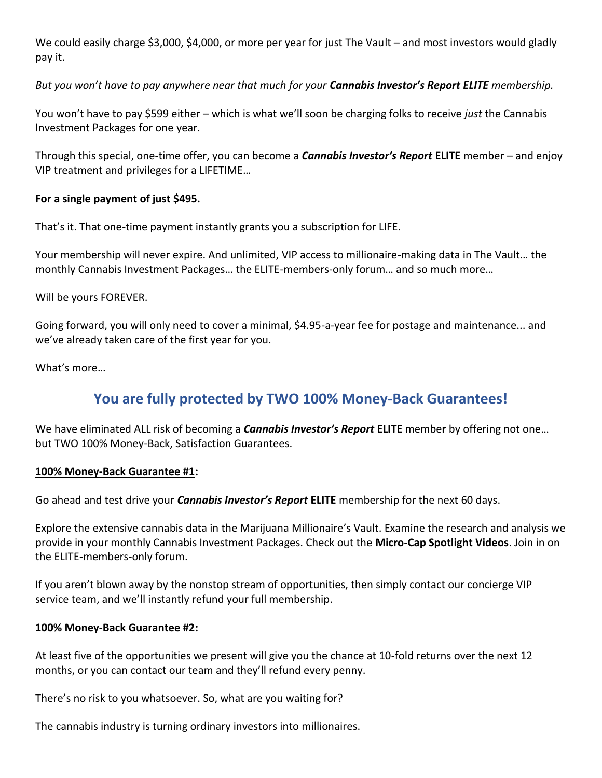We could easily charge \$3,000, \$4,000, or more per year for just The Vault – and most investors would gladly pay it.

*But you won't have to pay anywhere near that much for your Cannabis Investor's Report ELITE membership.*

You won't have to pay \$599 either – which is what we'll soon be charging folks to receive *just* the Cannabis Investment Packages for one year.

Through this special, one-time offer, you can become a *Cannabis Investor's Report* **ELITE** member – and enjoy VIP treatment and privileges for a LIFETIME…

#### **For a single payment of just \$495.**

That's it. That one-time payment instantly grants you a subscription for LIFE.

Your membership will never expire. And unlimited, VIP access to millionaire-making data in The Vault… the monthly Cannabis Investment Packages… the ELITE-members-only forum… and so much more…

Will be yours FOREVER.

Going forward, you will only need to cover a minimal, \$4.95-a-year fee for postage and maintenance... and we've already taken care of the first year for you.

What's more…

### **You are fully protected by TWO 100% Money-Back Guarantees!**

We have eliminated ALL risk of becoming a *Cannabis Investor's Report* **ELITE** membe**r** by offering not one… but TWO 100% Money-Back, Satisfaction Guarantees.

#### **100% Money-Back Guarantee #1:**

Go ahead and test drive your *Cannabis Investor's Report* **ELITE** membership for the next 60 days.

Explore the extensive cannabis data in the Marijuana Millionaire's Vault. Examine the research and analysis we provide in your monthly Cannabis Investment Packages. Check out the **Micro-Cap Spotlight Videos**. Join in on the ELITE-members-only forum.

If you aren't blown away by the nonstop stream of opportunities, then simply contact our concierge VIP service team, and we'll instantly refund your full membership.

#### **100% Money-Back Guarantee #2:**

At least five of the opportunities we present will give you the chance at 10-fold returns over the next 12 months, or you can contact our team and they'll refund every penny.

There's no risk to you whatsoever. So, what are you waiting for?

The cannabis industry is turning ordinary investors into millionaires.